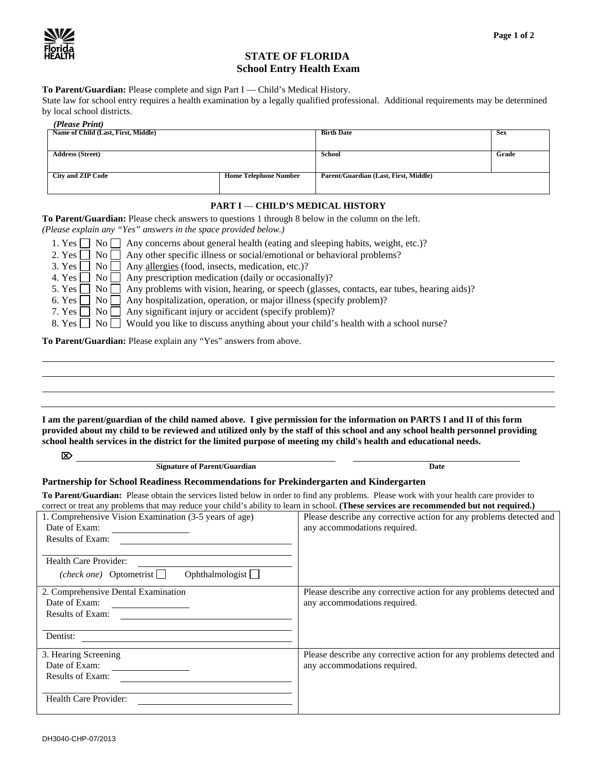

## **STATE OF FLORIDA School Entry Health Exam**

**To Parent/Guardian:** Please complete and sign Part I — Child's Medical History.

State law for school entry requires a health examination by a legally qualified professional. Additional requirements may be determined by local school districts.

| (Please Print)                      |                              |                                       |            |
|-------------------------------------|------------------------------|---------------------------------------|------------|
| Name of Child (Last, First, Middle) |                              | <b>Birth Date</b>                     | <b>Sex</b> |
|                                     |                              |                                       |            |
| <b>Address (Street)</b>             |                              | School                                | Grade      |
|                                     |                              |                                       |            |
| <b>City and ZIP Code</b>            | <b>Home Telephone Number</b> | Parent/Guardian (Last, First, Middle) |            |
|                                     |                              |                                       |            |

## **PART I** — **CHILD'S MEDICAL HISTORY**

**To Parent/Guardian:** Please check answers to questions 1 through 8 below in the column on the left.

*(Please explain any "Yes" answers in the space provided below.)* 

| 1. Yes $\Box$ No $\Box$ Any concerns about general health (eating and sleeping habits, weight, etc.)?              |  |
|--------------------------------------------------------------------------------------------------------------------|--|
| 2. Yes $\Box$ No $\Box$ Any other specific illness or social/emotional or behavioral problems?                     |  |
| 3. Yes $\Box$ No $\Box$ Any allergies (food, insects, medication, etc.)?                                           |  |
| 4. Yes $\Box$ No $\Box$ Any prescription medication (daily or occasionally)?                                       |  |
| 5. Yes $\Box$ No $\Box$ Any problems with vision, hearing, or speech (glasses, contacts, ear tubes, hearing aids)? |  |
| 6. Yes $\Box$ No $\Box$ Any hospitalization, operation, or major illness (specify problem)?                        |  |
| 7. Yes $\Box$ No $\Box$ Any significant injury or accident (specify problem)?                                      |  |
| 8. Yes ◯ No ◯ Would you like to discuss anything about your child's health with a school nurse?                    |  |
|                                                                                                                    |  |

**To Parent/Guardian:** Please explain any "Yes" answers from above.

**I am the parent/guardian of the child named above. I give permission for the information on PARTS I and II of this form provided about my child to be reviewed and utilized only by the staff of this school and any school health personnel providing school health services in the district for the limited purpose of meeting my child's health and educational needs.** 

| <b>Signature of Parent/Guardian</b>                                                                                                                                                                                                                                                   | <b>Date</b>                                                                                         |  |  |  |  |  |  |
|---------------------------------------------------------------------------------------------------------------------------------------------------------------------------------------------------------------------------------------------------------------------------------------|-----------------------------------------------------------------------------------------------------|--|--|--|--|--|--|
| Partnership for School Readiness Recommendations for Prekindergarten and Kindergarten                                                                                                                                                                                                 |                                                                                                     |  |  |  |  |  |  |
| To Parent/Guardian: Please obtain the services listed below in order to find any problems. Please work with your health care provider to<br>correct or treat any problems that may reduce your child's ability to learn in school. (These services are recommended but not required.) |                                                                                                     |  |  |  |  |  |  |
| 1. Comprehensive Vision Examination (3-5 years of age)<br>Date of Exam:<br><b>Results of Exam:</b>                                                                                                                                                                                    | Please describe any corrective action for any problems detected and<br>any accommodations required. |  |  |  |  |  |  |
| Health Care Provider:<br>Ophthalmologist $\Box$<br>( <i>check one</i> ) Optometrist $\Box$                                                                                                                                                                                            |                                                                                                     |  |  |  |  |  |  |
| 2. Comprehensive Dental Examination<br>Date of Exam:<br><b>Results of Exam:</b>                                                                                                                                                                                                       | Please describe any corrective action for any problems detected and<br>any accommodations required. |  |  |  |  |  |  |
| Dentist:                                                                                                                                                                                                                                                                              |                                                                                                     |  |  |  |  |  |  |
| 3. Hearing Screening<br>Date of Exam:<br><b>Results of Exam:</b>                                                                                                                                                                                                                      | Please describe any corrective action for any problems detected and<br>any accommodations required. |  |  |  |  |  |  |
| Health Care Provider:                                                                                                                                                                                                                                                                 |                                                                                                     |  |  |  |  |  |  |

⌦